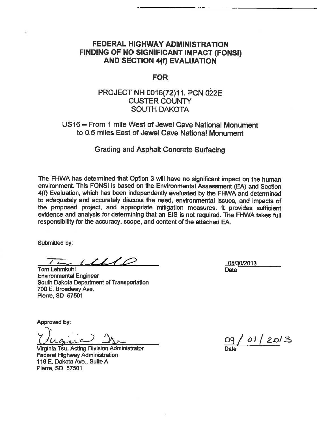## **FEDERAL HIGHWAY ADMINISTRATION** FINDING OF NO SIGNIFICANT IMPACT (FONSI) **AND SECTION 4(f) EVALUATION**

### **FOR**

## PROJECT NH 0016(72)11, PCN 022E **CUSTER COUNTY SOUTH DAKOTA**

## US16 - From 1 mile West of Jewel Cave National Monument to 0.5 miles East of Jewel Cave National Monument

**Grading and Asphalt Concrete Surfacing** 

The FHWA has determined that Option 3 will have no significant impact on the human environment. This FONSI is based on the Environmental Assessment (EA) and Section 4(f) Evaluation, which has been independently evaluated by the FHWA and determined to adequately and accurately discuss the need, environmental issues, and impacts of the proposed project, and appropriate mitigation measures. It provides sufficient evidence and analysis for determining that an EIS is not required. The FHWA takes full responsibility for the accuracy, scope, and content of the attached EA.

Submitted by:

1 ( I  $\mathcal{L}_{\mathcal{A}}$ 

**Tom Lehmkuhl Environmental Engineer** South Dakota Department of Transportation 700 E. Broadway Ave. Pierre, SD 57501

Approved by:

Virginia Tsu, Acting Division Administrator **Federal Highway Administration** 116 E. Dakota Ave., Suite A Pierre, SD 57501

08/30/2013 Date

 $01/20/3$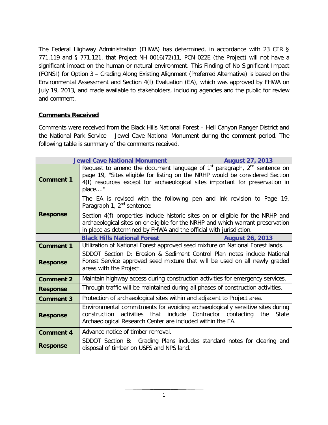The Federal Highway Administration (FHWA) has determined, in accordance with 23 CFR § 771.119 and § 771.121, that Project NH 0016(72)11, PCN 022E (the Project) will not have a significant impact on the human or natural environment. This Finding of No Significant Impact (FONSI) for Option 3 – Grading Along Existing Alignment (Preferred Alternative) is based on the Environmental Assessment and Section 4(f) Evaluation (EA), which was approved by FHWA on July 19, 2013, and made available to stakeholders, including agencies and the public for review and comment.

#### **Comments Received**

Comments were received from the Black Hills National Forest – Hell Canyon Ranger District and the National Park Service – Jewel Cave National Monument during the comment period. The following table is summary of the comments received.

| <b>Jewel Cave National Monument</b> |                                                                                                                                                                                                                                                        | <b>August 27, 2013</b> |
|-------------------------------------|--------------------------------------------------------------------------------------------------------------------------------------------------------------------------------------------------------------------------------------------------------|------------------------|
| <b>Comment 1</b>                    | Request to amend the document language of $1st$ paragraph, $2nd$ sentence on<br>page 19, "Sites eligible for listing on the NRHP would be considered Section<br>4(f) resources except for archaeological sites important for preservation in<br>place" |                        |
| <b>Response</b>                     | The EA is revised with the following pen and ink revision to Page 19,<br>Paragraph 1, $2^{nd}$ sentence:                                                                                                                                               |                        |
|                                     | Section 4(f) properties include historic sites on or eligible for the NRHP and<br>archaeological sites on or eligible for the NRHP and which warrant preservation<br>in place as determined by FHWA and the official with jurisdiction.                |                        |
|                                     | <b>Black Hills National Forest</b>                                                                                                                                                                                                                     | <b>August 26, 2013</b> |
| <b>Comment 1</b>                    | Utilization of National Forest approved seed mixture on National Forest lands.                                                                                                                                                                         |                        |
| <b>Response</b>                     | SDDOT Section D: Erosion & Sediment Control Plan notes include National<br>Forest Service approved seed mixture that will be used on all newly graded<br>areas with the Project.                                                                       |                        |
| <b>Comment 2</b>                    | Maintain highway access during construction activities for emergency services.                                                                                                                                                                         |                        |
| <b>Response</b>                     | Through traffic will be maintained during all phases of construction activities.                                                                                                                                                                       |                        |
| <b>Comment 3</b>                    | Protection of archaeological sites within and adjacent to Project area.                                                                                                                                                                                |                        |
| <b>Response</b>                     | Environmental commitments for avoiding archaeologically sensitive sites during<br>activities<br>that<br>include Contractor contacting<br>construction<br>the<br>State<br>Archaeological Research Center are included within the EA.                    |                        |
| <b>Comment 4</b>                    | Advance notice of timber removal.                                                                                                                                                                                                                      |                        |
| <b>Response</b>                     | SDDOT Section B: Grading Plans includes standard notes for clearing and<br>disposal of timber on USFS and NPS land.                                                                                                                                    |                        |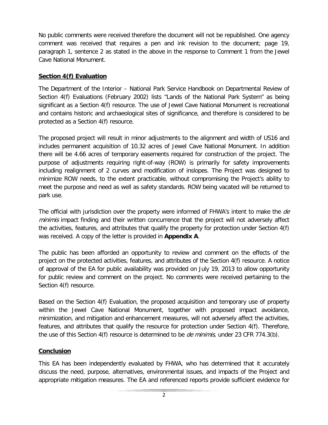No public comments were received therefore the document will not be republished. One agency comment was received that requires a pen and ink revision to the document; page 19, paragraph 1, sentence 2 as stated in the above in the response to Comment 1 from the Jewel Cave National Monument.

### **Section 4(f) Evaluation**

The Department of the Interior – National Park Service Handbook on Departmental Review of Section 4(f) Evaluations (February 2002) lists "Lands of the National Park System" as being significant as a Section 4(f) resource. The use of Jewel Cave National Monument is recreational and contains historic and archaeological sites of significance, and therefore is considered to be protected as a Section 4(f) resource.

The proposed project will result in minor adjustments to the alignment and width of US16 and includes permanent acquisition of 10.32 acres of Jewel Cave National Monument. In addition there will be 4.66 acres of temporary easements required for construction of the project. The purpose of adjustments requiring right-of-way (ROW) is primarily for safety improvements including realignment of 2 curves and modification of inslopes. The Project was designed to minimize ROW needs, to the extent practicable, without compromising the Project's ability to meet the purpose and need as well as safety standards. ROW being vacated will be returned to park use.

The official with jurisdiction over the property were informed of FHWA's intent to make the de minimis impact finding and their written concurrence that the project will not adversely affect the activities, features, and attributes that qualify the property for protection under Section 4(f) was received. A copy of the letter is provided in **Appendix A**.

The public has been afforded an opportunity to review and comment on the effects of the project on the protected activities, features, and attributes of the Section 4(f) resource. A notice of approval of the EA for public availability was provided on July 19, 2013 to allow opportunity for public review and comment on the project. No comments were received pertaining to the Section 4(f) resource.

Based on the Section 4(f) Evaluation, the proposed acquisition and temporary use of property within the Jewel Cave National Monument, together with proposed impact avoidance, minimization, and mitigation and enhancement measures, will not adversely affect the activities, features, and attributes that qualify the resource for protection under Section 4(f). Therefore, the use of this Section  $4(f)$  resource is determined to be *de minimis*, under 23 CFR 774.3(b).

#### **Conclusion**

This EA has been independently evaluated by FHWA, who has determined that it accurately discuss the need, purpose, alternatives, environmental issues, and impacts of the Project and appropriate mitigation measures. The EA and referenced reports provide sufficient evidence for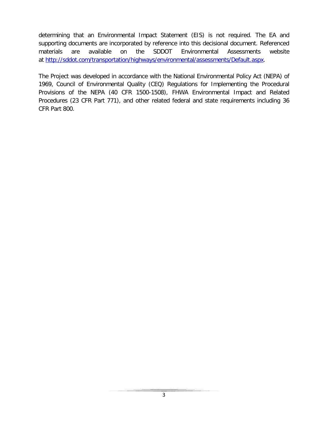determining that an Environmental Impact Statement (EIS) is not required. The EA and supporting documents are incorporated by reference into this decisional document. Referenced materials are available on the SDDOT Environmental Assessments website at [http://sddot.com/transportation/highways/environmental/assessments/Default.aspx.](http://sddot.com/transportation/highways/environmental/assessments/Default.aspx)

The Project was developed in accordance with the National Environmental Policy Act (NEPA) of 1969, Council of Environmental Quality (CEQ) Regulations for Implementing the Procedural Provisions of the NEPA (40 CFR 1500-1508), FHWA Environmental Impact and Related Procedures (23 CFR Part 771), and other related federal and state requirements including 36 CFR Part 800.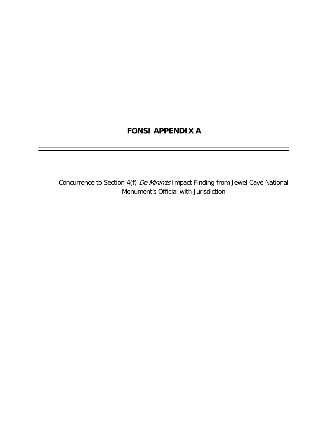# **FONSI APPENDIX A**

Concurrence to Section 4(f) De Minimis Impact Finding from Jewel Cave National Monument's Official with Jurisdiction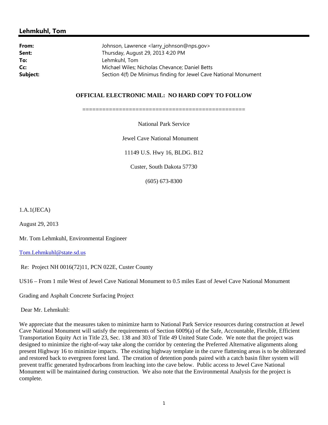#### **Lehmkuhl, Tom**

| Johnson, Lawrence <larry_johnson@nps.gov></larry_johnson@nps.gov> |  |
|-------------------------------------------------------------------|--|
| Thursday, August 29, 2013 4:20 PM                                 |  |
| Lehmkuhl, Tom                                                     |  |
| Michael Wiles; Nicholas Chevance; Daniel Betts                    |  |
| Section 4(f) De Minimus finding for Jewel Cave National Monument  |  |
|                                                                   |  |

#### **OFFICIAL ELECTRONIC MAIL: NO HARD COPY TO FOLLOW**

=================================================

National Park Service

Jewel Cave National Monument

11149 U.S. Hwy 16, BLDG. B12

Custer, South Dakota 57730

(605) 673-8300

1.A.1(JECA)

August 29, 2013

Mr. Tom Lehmkuhl, Environmental Engineer

Tom.Lehmkuhl@state.sd.us

Re: Project NH 0016(72)11, PCN 022E, Custer County

US16 – From 1 mile West of Jewel Cave National Monument to 0.5 miles East of Jewel Cave National Monument

Grading and Asphalt Concrete Surfacing Project

Dear Mr. Lehmkuhl:

We appreciate that the measures taken to minimize harm to National Park Service resources during construction at Jewel Cave National Monument will satisfy the requirements of Section 6009(a) of the Safe, Accountable, Flexible, Efficient Transportation Equity Act in Title 23, Sec. 138 and 303 of Title 49 United State Code. We note that the project was designed to minimize the right-of-way take along the corridor by centering the Preferred Alternative alignments along present Highway 16 to minimize impacts. The existing highway template in the curve flattening areas is to be obliterated and restored back to evergreen forest land. The creation of detention ponds paired with a catch basin filter system will prevent traffic generated hydrocarbons from leaching into the cave below. Public access to Jewel Cave National Monument will be maintained during construction. We also note that the Environmental Analysis for the project is complete.